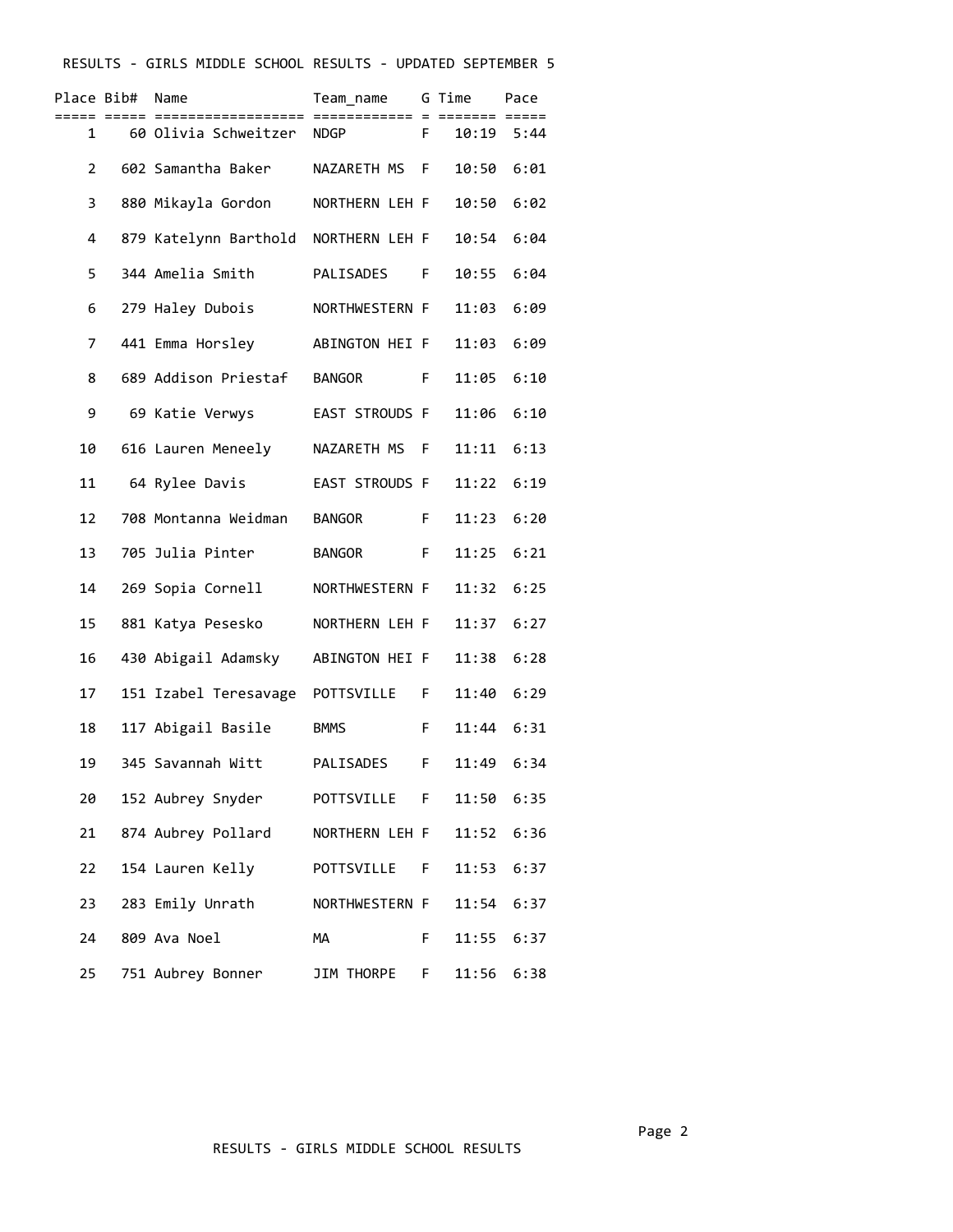## RESULTS - GIRLS MIDDLE SCHOOL RESULTS - UPDATED SEPTEMBER 5

| Place Bib#     | Name                               | Team_name      |    | G Time | Pace |
|----------------|------------------------------------|----------------|----|--------|------|
| 1              | 60 Olivia Schweitzer NDGP          |                | F. | 10:19  | 5:44 |
| $\overline{2}$ | 602 Samantha Baker                 | NAZARETH MS    | F. | 10:50  | 6:01 |
| 3              | 880 Mikayla Gordon                 | NORTHERN LEH F |    | 10:50  | 6:02 |
| 4              | 879 Katelynn Barthold              | NORTHERN LEH F |    | 10:54  | 6:04 |
| 5              | 344 Amelia Smith                   | PALISADES      | F  | 10:55  | 6:04 |
| 6              | 279 Haley Dubois                   | NORTHWESTERN F |    | 11:03  | 6:09 |
| 7              | 441 Emma Horsley                   | ABINGTON HEI F |    | 11:03  | 6:09 |
| 8              | 689 Addison Priestaf               | <b>BANGOR</b>  | F. | 11:05  | 6:10 |
| 9              | 69 Katie Verwys                    | EAST STROUDS F |    | 11:06  | 6:10 |
| 10             | 616 Lauren Meneely                 | NAZARETH MS    | F  | 11:11  | 6:13 |
| 11             | 64 Rylee Davis                     | EAST STROUDS F |    | 11:22  | 6:19 |
| 12             | 708 Montanna Weidman               | <b>BANGOR</b>  | F. | 11:23  | 6:20 |
| 13             | 705 Julia Pinter                   | <b>BANGOR</b>  | F. | 11:25  | 6:21 |
| 14             | 269 Sopia Cornell                  | NORTHWESTERN F |    | 11:32  | 6:25 |
| 15             | 881 Katya Pesesko                  | NORTHERN LEH F |    | 11:37  | 6:27 |
| 16             | 430 Abigail Adamsky                | ABINGTON HEI F |    | 11:38  | 6:28 |
| 17             | 151 Izabel Teresavage POTTSVILLE F |                |    | 11:40  | 6:29 |
| 18             | 117 Abigail Basile                 | <b>BMMS</b>    | F. | 11:44  | 6:31 |
| 19             | 345 Savannah Witt                  | PALISADES      | F  | 11:49  | 6:34 |
| 20             | 152 Aubrey Snyder                  | POTTSVILLE F   |    | 11:50  | 6:35 |
| 21             | 874 Aubrey Pollard                 | NORTHERN LEH F |    | 11:52  | 6:36 |
| 22             | 154 Lauren Kelly                   | POTTSVILLE F   |    | 11:53  | 6:37 |
| 23             | 283 Emily Unrath                   | NORTHWESTERN F |    | 11:54  | 6:37 |
| 24             | 809 Ava Noel                       | MA             | F  | 11:55  | 6:37 |
| 25             | 751 Aubrey Bonner                  | JIM THORPE     | F. | 11:56  | 6:38 |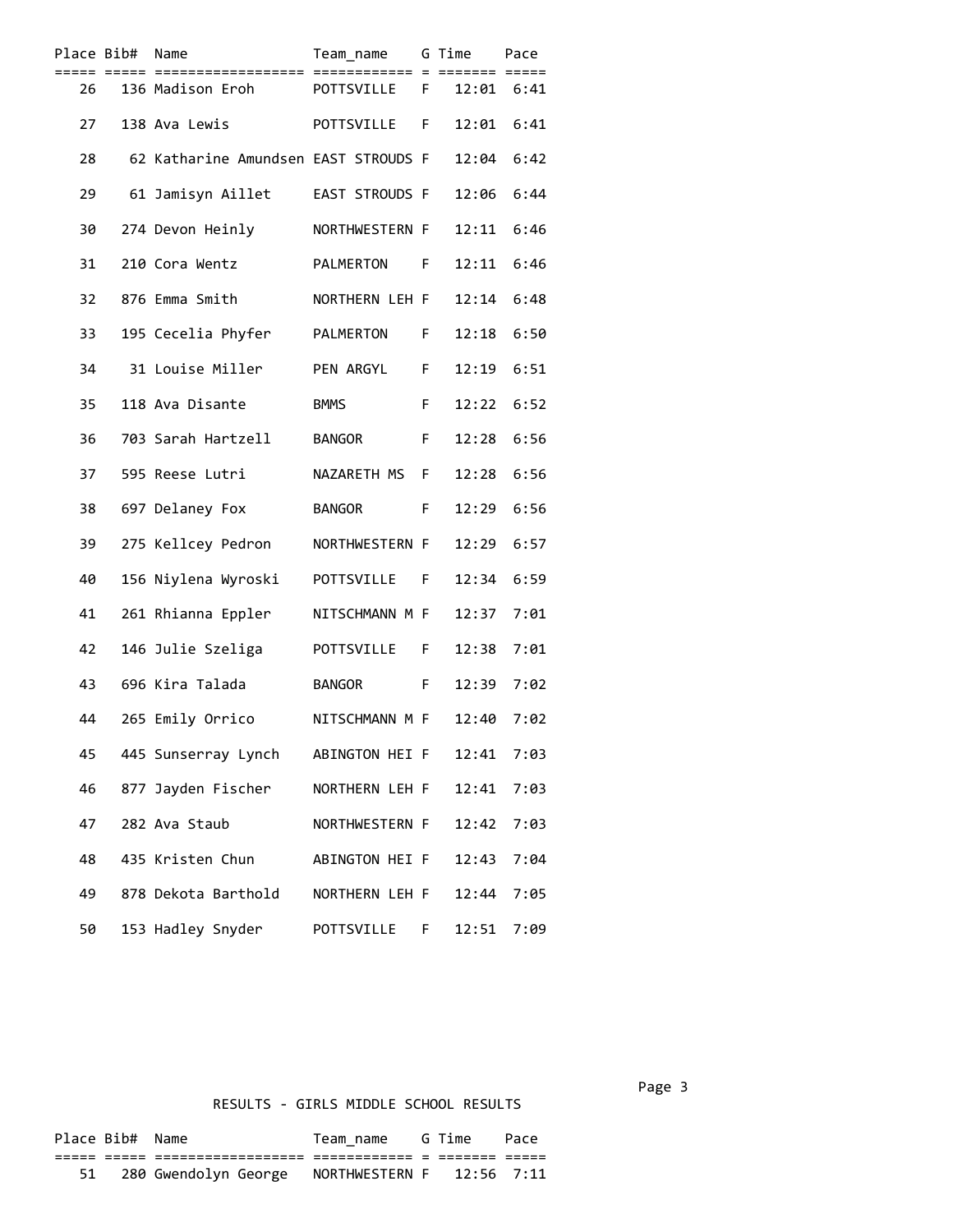| Place Bib# | := ==: | Name                                 | Team_name<br>:==== = = |    | G Time<br>====== == | Pace<br>==== |  |
|------------|--------|--------------------------------------|------------------------|----|---------------------|--------------|--|
| 26         |        | 136 Madison Eroh                     | POTTSVILLE F           |    | 12:01 6:41          |              |  |
| 27         |        | 138 Ava Lewis                        | POTTSVILLE             | F. | 12:01               | 6:41         |  |
| 28         |        | 62 Katharine Amundsen EAST STROUDS F |                        |    | 12:04               | 6:42         |  |
| 29         |        | 61 Jamisyn Aillet                    | EAST STROUDS F         |    | 12:06               | 6:44         |  |
| 30         |        | 274 Devon Heinly                     | NORTHWESTERN F         |    | 12:11               | 6:46         |  |
| 31         |        | 210 Cora Wentz                       | PALMERTON F            |    | 12:11               | 6:46         |  |
| 32         |        | 876 Emma Smith                       | NORTHERN LEH F         |    | 12:14               | 6:48         |  |
| 33         |        | 195 Cecelia Phyfer                   | PALMERTON              | F. | 12:18               | 6:50         |  |
| 34         |        | 31 Louise Miller                     | PEN ARGYL              | F  | 12:19               | 6:51         |  |
| 35         |        | 118 Ava Disante                      | <b>BMMS</b>            | F  | 12:22               | 6:52         |  |
| 36         |        | 703 Sarah Hartzell                   | BANGOR                 | F  | 12:28               | 6:56         |  |
| 37         |        | 595 Reese Lutri                      | NAZARETH MS            | F  | 12:28               | 6:56         |  |
| 38         |        | 697 Delaney Fox                      | <b>BANGOR</b>          | F. | 12:29               | 6:56         |  |
| 39         |        | 275 Kellcey Pedron                   | NORTHWESTERN F         |    | 12:29               | 6:57         |  |
| 40         |        | 156 Niylena Wyroski                  | POTTSVILLE F           |    | 12:34               | 6:59         |  |
| 41         |        | 261 Rhianna Eppler                   | NITSCHMANN M F         |    | 12:37               | 7:01         |  |
| 42         |        | 146 Julie Szeliga                    | POTTSVILLE             | F. | 12:38               | 7:01         |  |
| 43         |        | 696 Kira Talada                      | <b>BANGOR</b>          | F. | 12:39               | 7:02         |  |
| 44         |        | 265 Emily Orrico                     | NITSCHMANN M F         |    | 12:40               | 7:02         |  |
| 45         |        | 445 Sunserray Lynch                  | ABINGTON HEI F         |    | 12:41               | 7:03         |  |
| 46         |        | 877 Jayden Fischer                   | NORTHERN LEH F         |    | 12:41               | 7:03         |  |
| 47         |        | 282 Ava Staub                        | NORTHWESTERN F         |    | 12:42               | 7:03         |  |
| 48         |        | 435 Kristen Chun                     | ABINGTON HEI F         |    | 12:43               | 7:04         |  |
| 49         |        | 878 Dekota Barthold                  | NORTHERN LEH F         |    | 12:44               | 7:05         |  |
| 50         |        | 153 Hadley Snyder                    | POTTSVILLE             | F. | 12:51               | 7:09         |  |

## RESULTS - GIRLS MIDDLE SCHOOL RESULTS

| Place Bib# Name |                      | Team name                 | G Time  | Pace |
|-----------------|----------------------|---------------------------|---------|------|
| ___             | ----------------     | __________                | _______ |      |
|                 | 280 Gwendolyn George | NORTHWESTERN F 12:56 7:11 |         |      |

Page 3 and 2012 and 2012 and 2012 and 2012 and 2012 and 2012 and 2012 and 2012 and 2012 and 2012 and 2012 and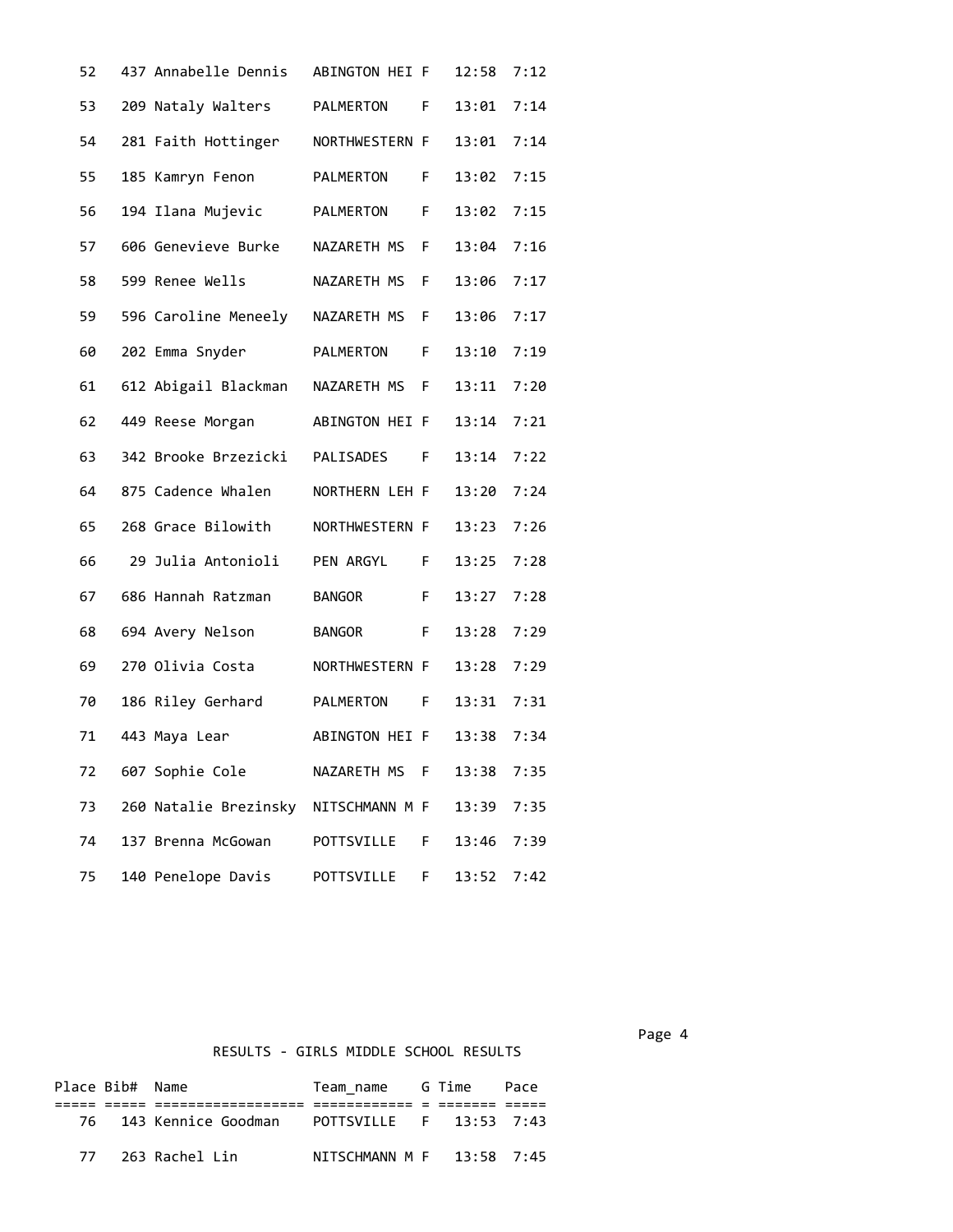| 52 | 437 Annabelle Dennis  | ABINGTON HEI F |    | 12:58 | 7:12 |
|----|-----------------------|----------------|----|-------|------|
| 53 | 209 Nataly Walters    | PALMERTON      | F  | 13:01 | 7:14 |
| 54 | 281 Faith Hottinger   | NORTHWESTERN F |    | 13:01 | 7:14 |
| 55 | 185 Kamryn Fenon      | PALMERTON      | F  | 13:02 | 7:15 |
| 56 | 194 Ilana Mujevic     | PALMERTON      | F  | 13:02 | 7:15 |
| 57 | 606 Genevieve Burke   | NAZARETH MS    | F  | 13:04 | 7:16 |
| 58 | 599 Renee Wells       | NAZARETH MS    | F  | 13:06 | 7:17 |
| 59 | 596 Caroline Meneely  | NAZARETH MS F  |    | 13:06 | 7:17 |
| 60 | 202 Emma Snyder       | PALMERTON      | F  | 13:10 | 7:19 |
| 61 | 612 Abigail Blackman  | NAZARETH MS    | F  | 13:11 | 7:20 |
| 62 | 449 Reese Morgan      | ABINGTON HEI F |    | 13:14 | 7:21 |
| 63 | 342 Brooke Brzezicki  | PALISADES      | F. | 13:14 | 7:22 |
| 64 | 875 Cadence Whalen    | NORTHERN LEH F |    | 13:20 | 7:24 |
| 65 | 268 Grace Bilowith    | NORTHWESTERN F |    | 13:23 | 7:26 |
| 66 | 29 Julia Antonioli    | PEN ARGYL      | F. | 13:25 | 7:28 |
| 67 | 686 Hannah Ratzman    | <b>BANGOR</b>  | F. | 13:27 | 7:28 |
| 68 | 694 Avery Nelson      | <b>BANGOR</b>  | F  | 13:28 | 7:29 |
| 69 | 270 Olivia Costa      | NORTHWESTERN F |    | 13:28 | 7:29 |
| 70 | 186 Riley Gerhard     | PALMERTON      | F. | 13:31 | 7:31 |
| 71 | 443 Maya Lear         | ABINGTON HEI F |    | 13:38 | 7:34 |
| 72 | 607 Sophie Cole       | NAZARETH MS F  |    | 13:38 | 7:35 |
| 73 | 260 Natalie Brezinsky | NITSCHMANN M F |    | 13:39 | 7:35 |
| 74 | 137 Brenna McGowan    | POTTSVILLE     | F  | 13:46 | 7:39 |
| 75 | 140 Penelope Davis    | POTTSVILLE     | F  | 13:52 | 7:42 |

Page 4 and the state of the state of the state of the state of the state of the state of the state of the state of the state of the state of the state of the state of the state of the state of the state of the state of the

## RESULTS - GIRLS MIDDLE SCHOOL RESULTS

|    | Place Bib# Name |                        | Team name   G Time        |  | Pace |  |
|----|-----------------|------------------------|---------------------------|--|------|--|
|    |                 |                        |                           |  |      |  |
|    |                 | 76 143 Kennice Goodman | POTTSVILLE F 13:53 7:43   |  |      |  |
| 77 |                 | 263 Rachel Lin         | NTTSCHMANN M F 13:58 7:45 |  |      |  |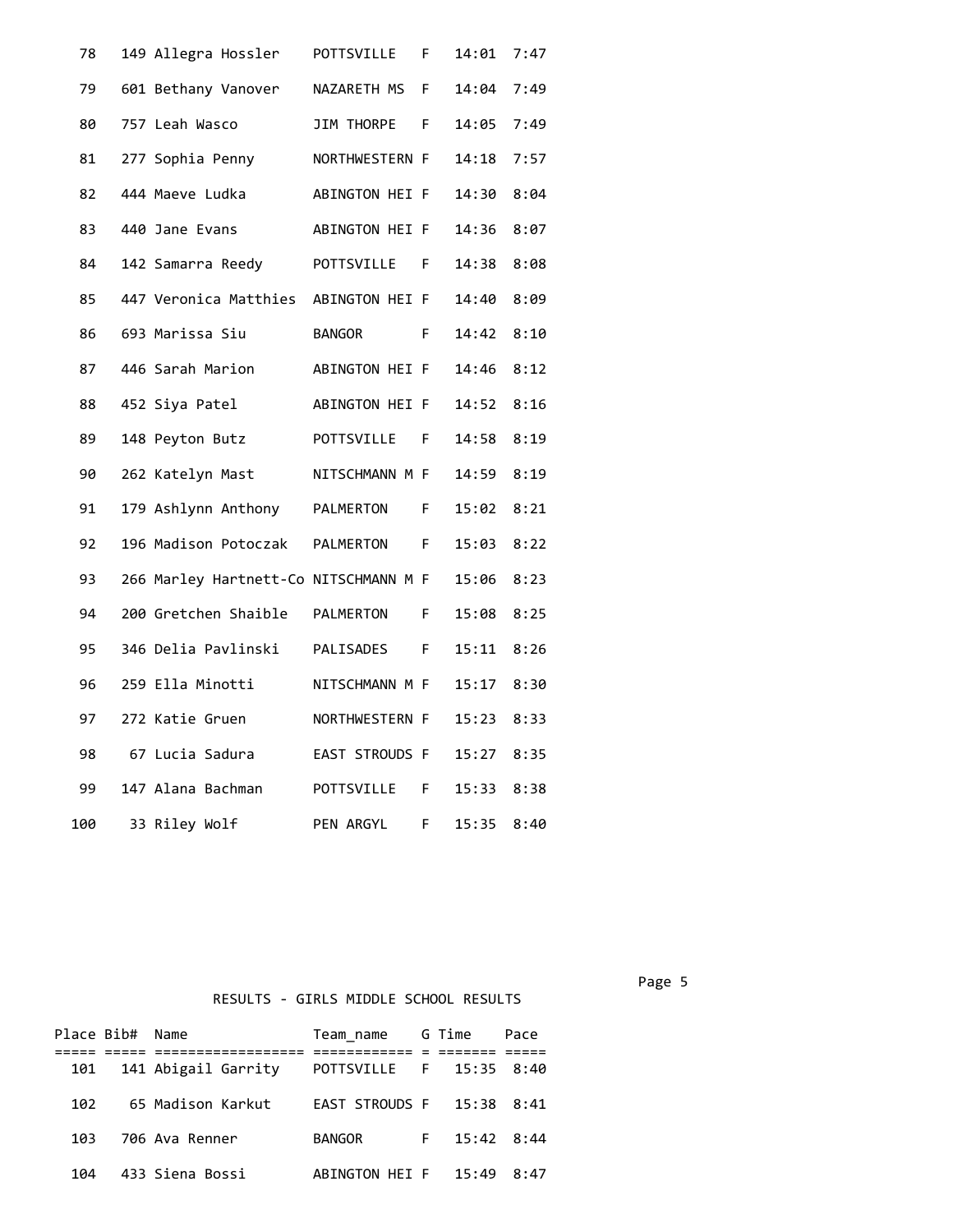| 78  | 149 Allegra Hossler                   | POTTSVILLE     | F. | 14:01 | 7:47 |
|-----|---------------------------------------|----------------|----|-------|------|
| 79  | 601 Bethany Vanover                   | NAZARETH MS    | F  | 14:04 | 7:49 |
| 80  | 757 Leah Wasco                        | JIM THORPE F   |    | 14:05 | 7:49 |
| 81  | 277 Sophia Penny                      | NORTHWESTERN F |    | 14:18 | 7:57 |
| 82  | 444 Maeve Ludka                       | ABINGTON HEI F |    | 14:30 | 8:04 |
| 83  | 440 Jane Evans                        | ABINGTON HEI F |    | 14:36 | 8:07 |
| 84  | 142 Samarra Reedy                     | POTTSVILLE     | F. | 14:38 | 8:08 |
| 85  | 447 Veronica Matthies ABINGTON HEI F  |                |    | 14:40 | 8:09 |
| 86  | 693 Marissa Siu                       | BANGOR         | F. | 14:42 | 8:10 |
| 87  | 446 Sarah Marion                      | ABINGTON HEI F |    | 14:46 | 8:12 |
| 88  | 452 Siya Patel                        | ABINGTON HEI F |    | 14:52 | 8:16 |
| 89  | 148 Peyton Butz                       | POTTSVILLE F   |    | 14:58 | 8:19 |
| 90  | 262 Katelyn Mast                      | NITSCHMANN M F |    | 14:59 | 8:19 |
| 91  | 179 Ashlynn Anthony PALMERTON         |                | F. | 15:02 | 8:21 |
| 92  | 196 Madison Potoczak PALMERTON F      |                |    | 15:03 | 8:22 |
| 93  | 266 Marley Hartnett-Co NITSCHMANN M F |                |    | 15:06 | 8:23 |
| 94  | 200 Gretchen Shaible  PALMERTON       |                | F. | 15:08 | 8:25 |
| 95  | 346 Delia Pavlinski                   | PALISADES F    |    | 15:11 | 8:26 |
| 96  | 259 Ella Minotti                      | NITSCHMANN M F |    | 15:17 | 8:30 |
| 97  | 272 Katie Gruen                       | NORTHWESTERN F |    | 15:23 | 8:33 |
| 98  | 67 Lucia Sadura                       | EAST STROUDS F |    | 15:27 | 8:35 |
| 99  | 147 Alana Bachman                     | POTTSVILLE     | F. | 15:33 | 8:38 |
| 100 | 33 Riley Wolf                         | PEN ARGYL      | F  | 15:35 | 8:40 |

RESULTS - GIRLS MIDDLE SCHOOL RESULTS

|      | Place Bib# Name |                         | Team name G Time          |  | Pace |
|------|-----------------|-------------------------|---------------------------|--|------|
|      |                 | 101 141 Abigail Garrity | POTTSVILLE F 15:35 8:40   |  |      |
| 102  |                 | 65 Madison Karkut       | EAST STROUDS F 15:38 8:41 |  |      |
| 103. |                 | 706 Ava Renner          | BANGOR F 15:42 8:44       |  |      |
| 104  |                 | 433 Siena Bossi         | ABINGTON HEI F 15:49 8:47 |  |      |

Page 5 and 2012 and 2012 and 2012 and 2012 and 2012 and 2012 and 2012 and 2012 and 2012 and 2012 and 2012 and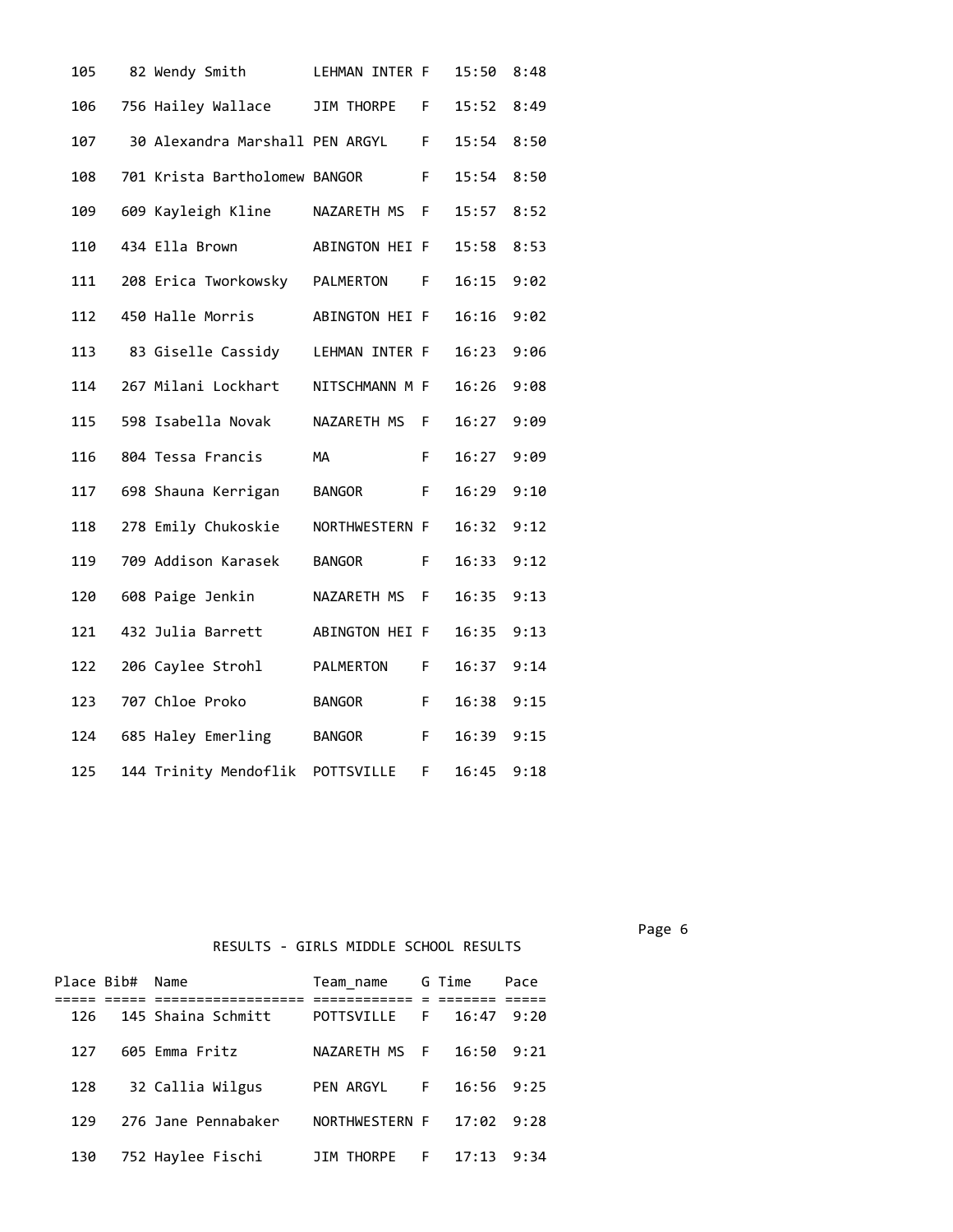| 105 | 82 Wendy Smith                    | LEHMAN INTER F |    | 15:50      | 8:48 |
|-----|-----------------------------------|----------------|----|------------|------|
| 106 | 756 Hailey Wallace                | JIM THORPE     | F. | 15:52      | 8:49 |
| 107 | 30 Alexandra Marshall PEN ARGYL F |                |    | 15:54      | 8:50 |
| 108 | 701 Krista Bartholomew BANGOR     | $\overline{F}$ |    | 15:54      | 8:50 |
| 109 | 609 Kayleigh Kline NAZARETH MS F  |                |    | 15:57 8:52 |      |
| 110 | 434 Ella Brown                    | ABINGTON HEI F |    | 15:58      | 8:53 |
| 111 | 208 Erica Tworkowsky PALMERTON    |                | F  | 16:15      | 9:02 |
| 112 | 450 Halle Morris                  | ABINGTON HEI F |    | 16:16      | 9:02 |
| 113 | 83 Giselle Cassidy LEHMAN INTER F |                |    | 16:23      | 9:06 |
| 114 | 267 Milani Lockhart               | NITSCHMANN M F |    | 16:26      | 9:08 |
| 115 | 598 Isabella Novak                | NAZARETH MS F  |    | 16:27      | 9:09 |
| 116 | 804 Tessa Francis                 | MA             | F. | 16:27      | 9:09 |
| 117 | 698 Shauna Kerrigan               | BANGOR         | E  | 16:29      | 9:10 |
| 118 | 278 Emily Chukoskie               | NORTHWESTERN F |    | 16:32      | 9:12 |
| 119 | 709 Addison Karasek               | <b>BANGOR</b>  | F. | 16:33      | 9:12 |
| 120 | 608 Paige Jenkin                  | NAZARETH MS F  |    | 16:35      | 9:13 |
| 121 | 432 Julia Barrett                 | ABINGTON HEI F |    | 16:35      | 9:13 |
| 122 | 206 Caylee Strohl                 | PALMERTON F    |    | 16:37      | 9:14 |
| 123 | 707 Chloe Proko                   | <b>BANGOR</b>  | F. | 16:38      | 9:15 |
| 124 | 685 Haley Emerling                | BANGOR         | F  | 16:39      | 9:15 |
| 125 | 144 Trinity Mendoflik             | POTTSVILLE     | F. | 16:45      | 9:18 |

RESULTS - GIRLS MIDDLE SCHOOL RESULTS

|     | Place Bib# Name |                     | Team name G Time    |             | Pace |  |
|-----|-----------------|---------------------|---------------------|-------------|------|--|
|     |                 |                     |                     |             |      |  |
| 126 |                 | 145 Shaina Schmitt  | POTTSVILLE          | F 16:47     | 9:20 |  |
| 127 |                 | 605 Emma Fritz      | NAZARETH MS F 16:50 |             | 9:21 |  |
| 128 |                 | 32 Callia Wilgus    | PEN ARGYL           | $F = 16:56$ | 9:25 |  |
| 129 |                 | 276 Jane Pennabaker | NORTHWESTERN F      | 17:02       | 9:28 |  |
| 130 |                 | 752 Haylee Fischi   | JIM THORPE          | F 17:13     | 9:34 |  |

Page 6 and the contract of the contract of the contract of the contract of the contract of the contract of the